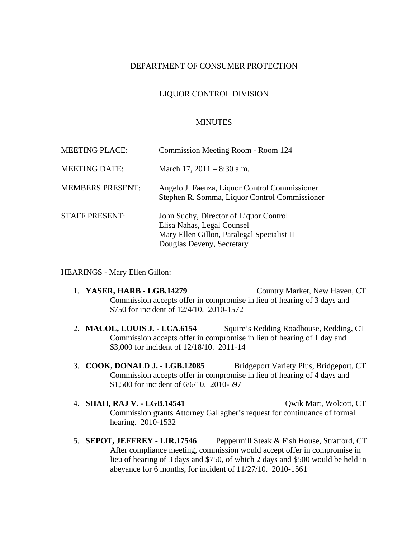# DEPARTMENT OF CONSUMER PROTECTION

# LIQUOR CONTROL DIVISION

### MINUTES

| <b>MEETING PLACE:</b>   | Commission Meeting Room - Room 124                                                                                                              |
|-------------------------|-------------------------------------------------------------------------------------------------------------------------------------------------|
| <b>MEETING DATE:</b>    | March 17, $2011 - 8:30$ a.m.                                                                                                                    |
| <b>MEMBERS PRESENT:</b> | Angelo J. Faenza, Liquor Control Commissioner<br>Stephen R. Somma, Liquor Control Commissioner                                                  |
| <b>STAFF PRESENT:</b>   | John Suchy, Director of Liquor Control<br>Elisa Nahas, Legal Counsel<br>Mary Ellen Gillon, Paralegal Specialist II<br>Douglas Deveny, Secretary |

#### HEARINGS - Mary Ellen Gillon:

- 1. **YASER, HARB LGB.14279** Country Market, New Haven, CT Commission accepts offer in compromise in lieu of hearing of 3 days and \$750 for incident of 12/4/10. 2010-1572
- 2. **MACOL, LOUIS J. LCA.6154** Squire's Redding Roadhouse, Redding, CT Commission accepts offer in compromise in lieu of hearing of 1 day and \$3,000 for incident of 12/18/10. 2011-14
- 3. **COOK, DONALD J. LGB.12085** Bridgeport Variety Plus, Bridgeport, CT Commission accepts offer in compromise in lieu of hearing of 4 days and \$1,500 for incident of 6/6/10. 2010-597
- 4. **SHAH, RAJ V. LGB.14541** Qwik Mart, Wolcott, CT Commission grants Attorney Gallagher's request for continuance of formal hearing. 2010-1532
- 5. **SEPOT, JEFFREY LIR.17546** Peppermill Steak & Fish House, Stratford, CT After compliance meeting, commission would accept offer in compromise in lieu of hearing of 3 days and \$750, of which 2 days and \$500 would be held in abeyance for 6 months, for incident of 11/27/10. 2010-1561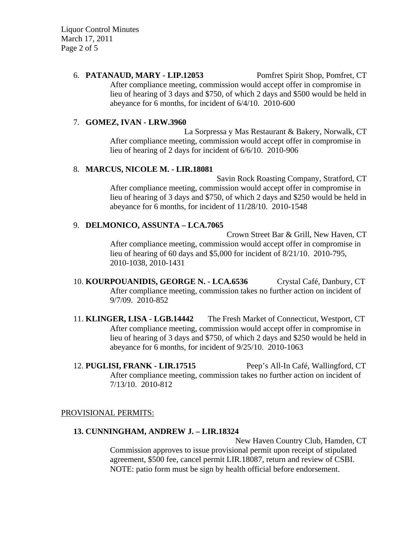Liquor Control Minutes March 17, 2011 Page 2 of 5

# 6. **PATANAUD, MARY - LIP.12053** Pomfret Spirit Shop, Pomfret, CT After compliance meeting, commission would accept offer in compromise in lieu of hearing of 3 days and \$750, of which 2 days and \$500 would be held in abeyance for 6 months, for incident of 6/4/10. 2010-600

### 7. **GOMEZ, IVAN - LRW.3960**

La Sorpressa y Mas Restaurant & Bakery, Norwalk, CT After compliance meeting, commission would accept offer in compromise in lieu of hearing of 2 days for incident of 6/6/10. 2010-906

### 8. **MARCUS, NICOLE M. - LIR.18081**

Savin Rock Roasting Company, Stratford, CT After compliance meeting, commission would accept offer in compromise in lieu of hearing of 3 days and \$750, of which 2 days and \$250 would be held in abeyance for 6 months, for incident of 11/28/10. 2010-1548

# 9. **DELMONICO, ASSUNTA – LCA.7065**

Crown Street Bar & Grill, New Haven, CT After compliance meeting, commission would accept offer in compromise in lieu of hearing of 60 days and \$5,000 for incident of 8/21/10. 2010-795, 2010-1038, 2010-1431

10. **KOURPOUANIDIS, GEORGE N. - LCA.6536** Crystal Café, Danbury, CT After compliance meeting, commission takes no further action on incident of 9/7/09. 2010-852

11. **KLINGER, LISA - LGB.14442** The Fresh Market of Connecticut, Westport, CT After compliance meeting, commission would accept offer in compromise in lieu of hearing of 3 days and \$750, of which 2 days and \$250 would be held in abeyance for 6 months, for incident of 9/25/10. 2010-1063

12. **PUGLISI, FRANK - LIR.17515** Peep's All-In Café, Wallingford, CT After compliance meeting, commission takes no further action on incident of 7/13/10. 2010-812

### PROVISIONAL PERMITS:

### **13. CUNNINGHAM, ANDREW J. – LIR.18324**

New Haven Country Club, Hamden, CT Commission approves to issue provisional permit upon receipt of stipulated agreement, \$500 fee, cancel permit LIR.18087, return and review of CSBI. NOTE: patio form must be sign by health official before endorsement.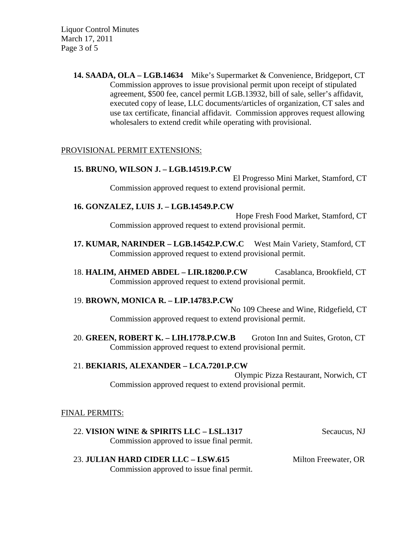Liquor Control Minutes March 17, 2011 Page 3 of 5

> **14. SAADA, OLA – LGB.14634** Mike's Supermarket & Convenience, Bridgeport, CT Commission approves to issue provisional permit upon receipt of stipulated agreement, \$500 fee, cancel permit LGB.13932, bill of sale, seller's affidavit, executed copy of lease, LLC documents/articles of organization, CT sales and use tax certificate, financial affidavit. Commission approves request allowing wholesalers to extend credit while operating with provisional.

### PROVISIONAL PERMIT EXTENSIONS:

#### **15. BRUNO, WILSON J. – LGB.14519.P.CW**

El Progresso Mini Market, Stamford, CT Commission approved request to extend provisional permit.

#### **16. GONZALEZ, LUIS J. – LGB.14549.P.CW**

Hope Fresh Food Market, Stamford, CT Commission approved request to extend provisional permit.

- **17. KUMAR, NARINDER LGB.14542.P.CW.C** West Main Variety, Stamford, CT Commission approved request to extend provisional permit.
- 18. **HALIM, AHMED ABDEL LIR.18200.P.CW** Casablanca, Brookfield, CT Commission approved request to extend provisional permit.

### 19. **BROWN, MONICA R. – LIP.14783.P.CW**

No 109 Cheese and Wine, Ridgefield, CT Commission approved request to extend provisional permit.

20. **GREEN, ROBERT K. – LIH.1778.P.CW.B** Groton Inn and Suites, Groton, CT Commission approved request to extend provisional permit.

### 21. **BEKIARIS, ALEXANDER – LCA.7201.P.CW**

Olympic Pizza Restaurant, Norwich, CT Commission approved request to extend provisional permit.

#### FINAL PERMITS:

- 22. **VISION WINE & SPIRITS LLC LSL.1317** Secaucus, NJ Commission approved to issue final permit.
- 23. **JULIAN HARD CIDER LLC LSW.615** Milton Freewater, OR Commission approved to issue final permit.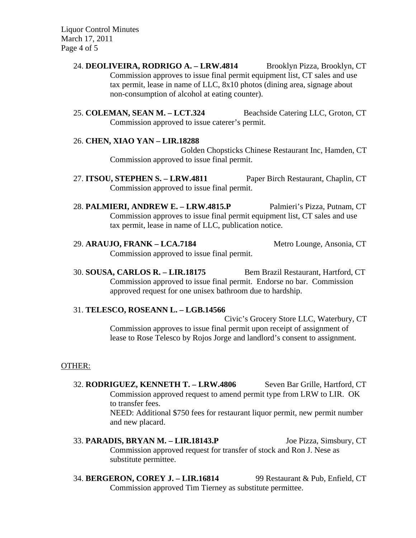Liquor Control Minutes March 17, 2011 Page 4 of 5

> 24. **DEOLIVEIRA, RODRIGO A. – LRW.4814** Brooklyn Pizza, Brooklyn, CT Commission approves to issue final permit equipment list, CT sales and use tax permit, lease in name of LLC, 8x10 photos (dining area, signage about non-consumption of alcohol at eating counter).

> 25. **COLEMAN, SEAN M. – LCT.324** Beachside Catering LLC, Groton, CT Commission approved to issue caterer's permit.

#### 26. **CHEN, XIAO YAN – LIR.18288**

Golden Chopsticks Chinese Restaurant Inc, Hamden, CT Commission approved to issue final permit.

- 27. **ITSOU, STEPHEN S. LRW.4811** Paper Birch Restaurant, Chaplin, CT Commission approved to issue final permit.
- 28. **PALMIERI, ANDREW E. LRW.4815.P** Palmieri's Pizza, Putnam, CT Commission approves to issue final permit equipment list, CT sales and use tax permit, lease in name of LLC, publication notice.

29. **ARAUJO, FRANK – LCA.7184** Metro Lounge, Ansonia, CT Commission approved to issue final permit.

30. **SOUSA, CARLOS R. – LIR.18175** Bem Brazil Restaurant, Hartford, CT Commission approved to issue final permit. Endorse no bar. Commission approved request for one unisex bathroom due to hardship.

#### 31. **TELESCO, ROSEANN L. – LGB.14566**

Civic's Grocery Store LLC, Waterbury, CT Commission approves to issue final permit upon receipt of assignment of lease to Rose Telesco by Rojos Jorge and landlord's consent to assignment.

#### OTHER:

32. **RODRIGUEZ, KENNETH T. – LRW.4806** Seven Bar Grille, Hartford, CT Commission approved request to amend permit type from LRW to LIR. OK to transfer fees. NEED: Additional \$750 fees for restaurant liquor permit, new permit number and new placard.

# 33. **PARADIS, BRYAN M. – LIR.18143.P** Joe Pizza, Simsbury, CT Commission approved request for transfer of stock and Ron J. Nese as substitute permittee.

34. **BERGERON, COREY J. – LIR.16814** 99 Restaurant & Pub, Enfield, CT Commission approved Tim Tierney as substitute permittee.